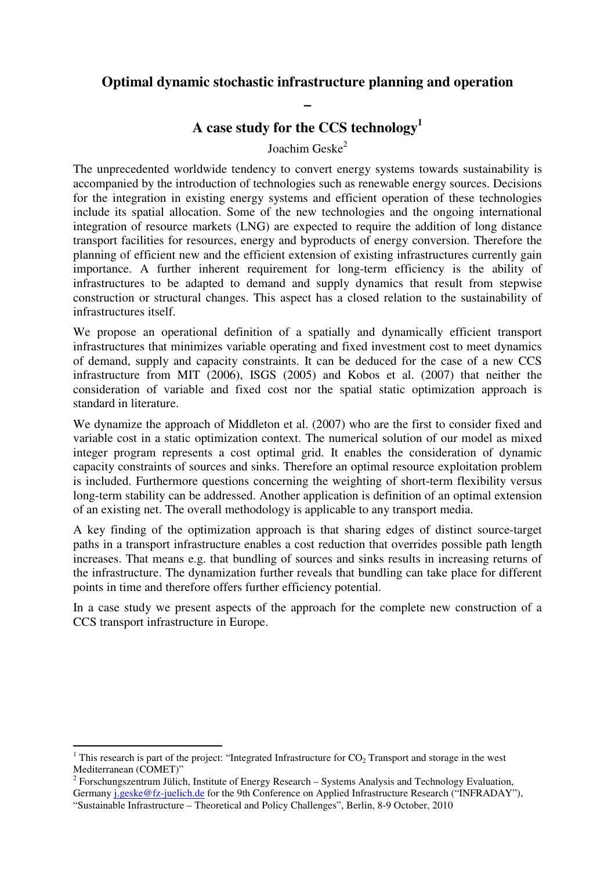## **Optimal dynamic stochastic infrastructure planning and operation**

**–** 

**A case study for the CCS technology<sup>1</sup>**

Joachim Geske<sup>2</sup>

The unprecedented worldwide tendency to convert energy systems towards sustainability is accompanied by the introduction of technologies such as renewable energy sources. Decisions for the integration in existing energy systems and efficient operation of these technologies include its spatial allocation. Some of the new technologies and the ongoing international integration of resource markets (LNG) are expected to require the addition of long distance transport facilities for resources, energy and byproducts of energy conversion. Therefore the planning of efficient new and the efficient extension of existing infrastructures currently gain importance. A further inherent requirement for long-term efficiency is the ability of infrastructures to be adapted to demand and supply dynamics that result from stepwise construction or structural changes. This aspect has a closed relation to the sustainability of infrastructures itself.

We propose an operational definition of a spatially and dynamically efficient transport infrastructures that minimizes variable operating and fixed investment cost to meet dynamics of demand, supply and capacity constraints. It can be deduced for the case of a new CCS infrastructure from MIT (2006), ISGS (2005) and Kobos et al. (2007) that neither the consideration of variable and fixed cost nor the spatial static optimization approach is standard in literature.

We dynamize the approach of Middleton et al. (2007) who are the first to consider fixed and variable cost in a static optimization context. The numerical solution of our model as mixed integer program represents a cost optimal grid. It enables the consideration of dynamic capacity constraints of sources and sinks. Therefore an optimal resource exploitation problem is included. Furthermore questions concerning the weighting of short-term flexibility versus long-term stability can be addressed. Another application is definition of an optimal extension of an existing net. The overall methodology is applicable to any transport media.

A key finding of the optimization approach is that sharing edges of distinct source-target paths in a transport infrastructure enables a cost reduction that overrides possible path length increases. That means e.g. that bundling of sources and sinks results in increasing returns of the infrastructure. The dynamization further reveals that bundling can take place for different points in time and therefore offers further efficiency potential.

In a case study we present aspects of the approach for the complete new construction of a CCS transport infrastructure in Europe.

 $\overline{a}$ 

<sup>&</sup>lt;sup>1</sup> This research is part of the project: "Integrated Infrastructure for  $CO<sub>2</sub>$  Transport and storage in the west Mediterranean (COMET)"

<sup>&</sup>lt;sup>2</sup> Forschungszentrum Jülich, Institute of Energy Research – Systems Analysis and Technology Evaluation, Germany j.geske@fz-juelich.de for the 9th Conference on Applied Infrastructure Research ("INFRADAY"),

<sup>&</sup>quot;Sustainable Infrastructure – Theoretical and Policy Challenges", Berlin, 8-9 October, 2010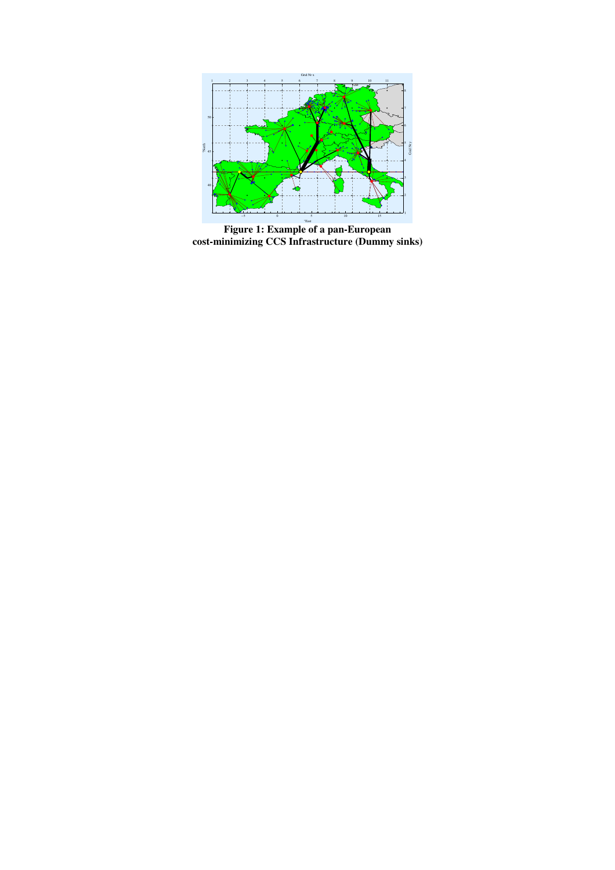

**Figure 1: Example of a pan-European cost-minimizing CCS Infrastructure (Dummy sinks)**